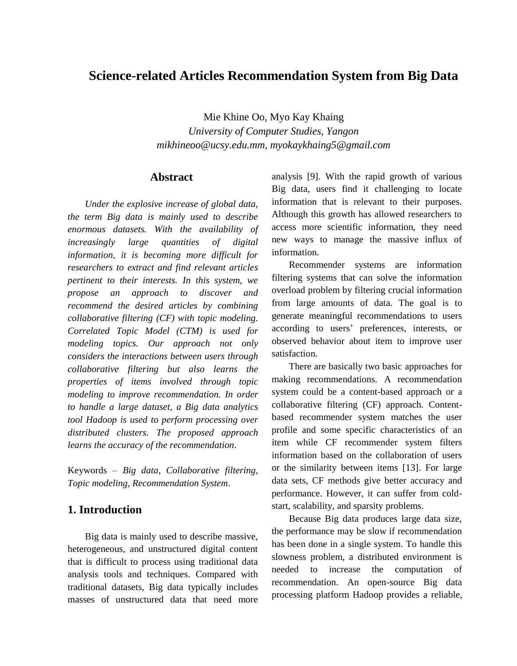# **Science-related Articles Recommendation System from Big Data**

Mie Khine Oo, Myo Kay Khaing *University of Computer Studies, Yangon mikhineoo@ucsy.edu.mm, myokaykhaing5@gmail.com*

### **Abstract**

*Under the explosive increase of global data, the term Big data is mainly used to describe enormous datasets. With the availability of increasingly large quantities of digital information, it is becoming more difficult for researchers to extract and find relevant articles pertinent to their interests. In this system, we propose an approach to discover and recommend the desired articles by combining collaborative filtering (CF) with topic modeling. Correlated Topic Model (CTM) is used for modeling topics. Our approach not only considers the interactions between users through collaborative filtering but also learns the properties of items involved through topic modeling to improve recommendation. In order to handle a large dataset, a Big data analytics tool Hadoop is used to perform processing over distributed clusters. The proposed approach learns the accuracy of the recommendation.*

Keywords – *Big data, Collaborative filtering, Topic modeling, Recommendation System*.

# **1. Introduction**

Big data is mainly used to describe massive, heterogeneous, and unstructured digital content that is difficult to process using traditional data analysis tools and techniques. Compared with traditional datasets, Big data typically includes masses of unstructured data that need more

analysis [9]. With the rapid growth of various Big data, users find it challenging to locate information that is relevant to their purposes. Although this growth has allowed researchers to access more scientific information, they need new ways to manage the massive influx of information.

Recommender systems are information filtering systems that can solve the information overload problem by filtering crucial information from large amounts of data. The goal is to generate meaningful recommendations to users according to users' preferences, interests, or observed behavior about item to improve user satisfaction.

There are basically two basic approaches for making recommendations. A recommendation system could be a content-based approach or a collaborative filtering (CF) approach. Contentbased recommender system matches the user profile and some specific characteristics of an item while CF recommender system filters information based on the collaboration of users or the similarity between items [13]. For large data sets, CF methods give better accuracy and performance. However, it can suffer from coldstart, scalability, and sparsity problems.

Because Big data produces large data size, the performance may be slow if recommendation has been done in a single system. To handle this slowness problem, a distributed environment is needed to increase the computation of recommendation. An open-source Big data processing platform Hadoop provides a reliable,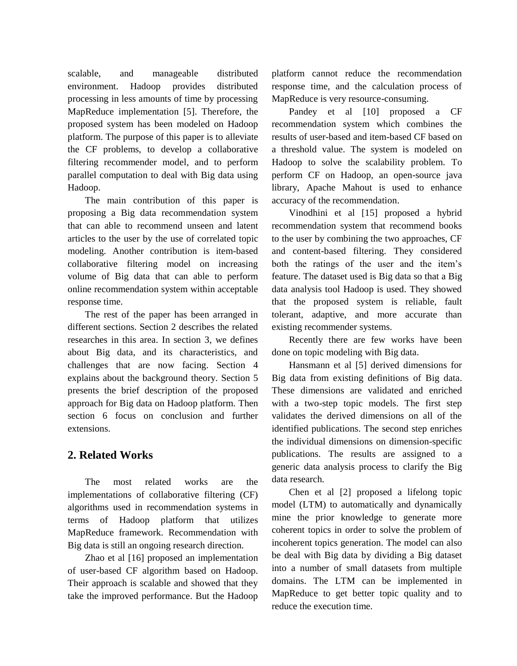scalable, and manageable distributed environment. Hadoop provides distributed processing in less amounts of time by processing MapReduce implementation [5]. Therefore, the proposed system has been modeled on Hadoop platform. The purpose of this paper is to alleviate the CF problems, to develop a collaborative filtering recommender model, and to perform parallel computation to deal with Big data using Hadoop.

The main contribution of this paper is proposing a Big data recommendation system that can able to recommend unseen and latent articles to the user by the use of correlated topic modeling. Another contribution is item-based collaborative filtering model on increasing volume of Big data that can able to perform online recommendation system within acceptable response time.

The rest of the paper has been arranged in different sections. Section 2 describes the related researches in this area. In section 3, we defines about Big data, and its characteristics, and challenges that are now facing. Section 4 explains about the background theory. Section 5 presents the brief description of the proposed approach for Big data on Hadoop platform. Then section 6 focus on conclusion and further extensions.

# **2. Related Works**

The most related works are the implementations of collaborative filtering (CF) algorithms used in recommendation systems in terms of Hadoop platform that utilizes MapReduce framework. Recommendation with Big data is still an ongoing research direction.

Zhao et al [16] proposed an implementation of user-based CF algorithm based on Hadoop. Their approach is scalable and showed that they take the improved performance. But the Hadoop platform cannot reduce the recommendation response time, and the calculation process of MapReduce is very resource-consuming.

Pandey et al [10] proposed a CF recommendation system which combines the results of user-based and item-based CF based on a threshold value. The system is modeled on Hadoop to solve the scalability problem. To perform CF on Hadoop, an open-source java library, Apache Mahout is used to enhance accuracy of the recommendation.

Vinodhini et al [15] proposed a hybrid recommendation system that recommend books to the user by combining the two approaches, CF and content-based filtering. They considered both the ratings of the user and the item's feature. The dataset used is Big data so that a Big data analysis tool Hadoop is used. They showed that the proposed system is reliable, fault tolerant, adaptive, and more accurate than existing recommender systems.

Recently there are few works have been done on topic modeling with Big data.

Hansmann et al [5] derived dimensions for Big data from existing definitions of Big data. These dimensions are validated and enriched with a two-step topic models. The first step validates the derived dimensions on all of the identified publications. The second step enriches the individual dimensions on dimension-specific publications. The results are assigned to a generic data analysis process to clarify the Big data research.

Chen et al [2] proposed a lifelong topic model (LTM) to automatically and dynamically mine the prior knowledge to generate more coherent topics in order to solve the problem of incoherent topics generation. The model can also be deal with Big data by dividing a Big dataset into a number of small datasets from multiple domains. The LTM can be implemented in MapReduce to get better topic quality and to reduce the execution time.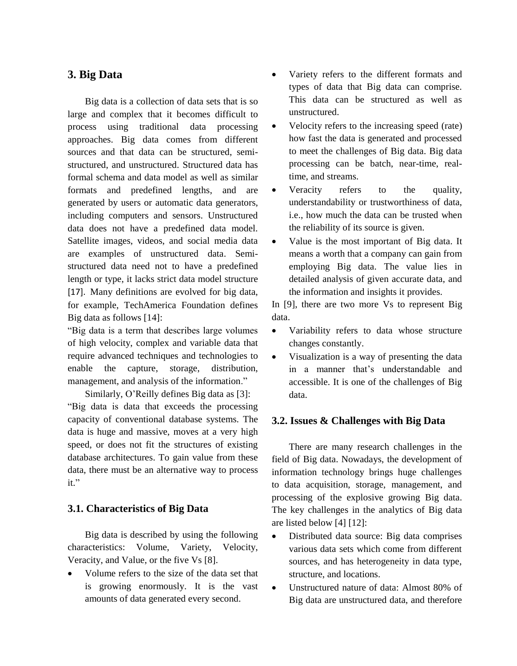# **3. Big Data**

Big data is a collection of data sets that is so large and complex that it becomes difficult to process using traditional data processing approaches. Big data comes from different sources and that data can be structured, semistructured, and unstructured. Structured data has formal schema and data model as well as similar formats and predefined lengths, and are generated by users or automatic data generators, including computers and sensors. Unstructured data does not have a predefined data model. Satellite images, videos, and social media data are examples of unstructured data. Semistructured data need not to have a predefined length or type, it lacks strict data model structure [17]. Many definitions are evolved for big data, for example, TechAmerica Foundation defines Big data as follows [14]:

"Big data is a term that describes large volumes of high velocity, complex and variable data that require advanced techniques and technologies to enable the capture, storage, distribution, management, and analysis of the information."

Similarly, O'Reilly defines Big data as [3]: "Big data is data that exceeds the processing capacity of conventional database systems. The data is huge and massive, moves at a very high speed, or does not fit the structures of existing database architectures. To gain value from these data, there must be an alternative way to process it."

### **3.1. Characteristics of Big Data**

Big data is described by using the following characteristics: Volume, Variety, Velocity, Veracity, and Value, or the five Vs [8].

• Volume refers to the size of the data set that is growing enormously. It is the vast amounts of data generated every second.

- Variety refers to the different formats and types of data that Big data can comprise. This data can be structured as well as unstructured.
- Velocity refers to the increasing speed (rate) how fast the data is generated and processed to meet the challenges of Big data. Big data processing can be batch, near-time, realtime, and streams.
- Veracity refers to the quality, understandability or trustworthiness of data, i.e., how much the data can be trusted when the reliability of its source is given.
- Value is the most important of Big data. It means a worth that a company can gain from employing Big data. The value lies in detailed analysis of given accurate data, and the information and insights it provides.

In [9], there are two more Vs to represent Big data.

- Variability refers to data whose structure changes constantly.
- Visualization is a way of presenting the data in a manner that's understandable and accessible. It is one of the challenges of Big data.

### **3.2. Issues & Challenges with Big Data**

There are many research challenges in the field of Big data. Nowadays, the development of information technology brings huge challenges to data acquisition, storage, management, and processing of the explosive growing Big data. The key challenges in the analytics of Big data are listed below [4] [12]:

- Distributed data source: Big data comprises various data sets which come from different sources, and has heterogeneity in data type, structure, and locations.
- Unstructured nature of data: Almost 80% of Big data are unstructured data, and therefore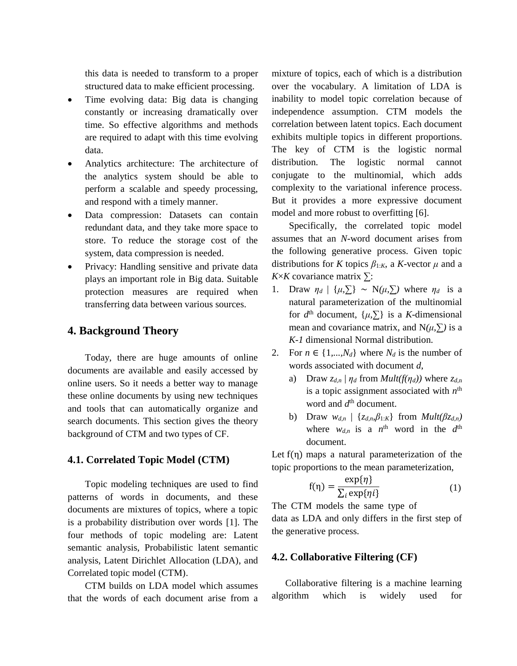this data is needed to transform to a proper structured data to make efficient processing.

- Time evolving data: Big data is changing constantly or increasing dramatically over time. So effective algorithms and methods are required to adapt with this time evolving data.
- Analytics architecture: The architecture of the analytics system should be able to perform a scalable and speedy processing, and respond with a timely manner.
- Data compression: Datasets can contain redundant data, and they take more space to store. To reduce the storage cost of the system, data compression is needed.
- Privacy: Handling sensitive and private data plays an important role in Big data. Suitable protection measures are required when transferring data between various sources.

### **4. Background Theory**

Today, there are huge amounts of online documents are available and easily accessed by online users. So it needs a better way to manage these online documents by using new techniques and tools that can automatically organize and search documents. This section gives the theory background of CTM and two types of CF.

### **4.1. Correlated Topic Model (CTM)**

Topic modeling techniques are used to find patterns of words in documents, and these documents are mixtures of topics, where a topic is a probability distribution over words [1]. The four methods of topic modeling are: Latent semantic analysis, Probabilistic latent semantic analysis, Latent Dirichlet Allocation (LDA), and Correlated topic model (CTM).

CTM builds on LDA model which assumes that the words of each document arise from a mixture of topics, each of which is a distribution over the vocabulary. A limitation of LDA is inability to model topic correlation because of independence assumption. CTM models the correlation between latent topics. Each document exhibits multiple topics in different proportions. The key of CTM is the logistic normal distribution. The logistic normal cannot conjugate to the multinomial, which adds complexity to the variational inference process. But it provides a more expressive document model and more robust to overfitting [6].

Specifically, the correlated topic model assumes that an *N*-word document arises from the following generative process. Given topic distributions for *K* topics  $\beta_{1:K}$ , a *K*-vector  $\mu$  and a *K*×*K* covariance matrix ∑:

- 1. Draw  $\eta_d$  | { $\mu$ ,  $\sum$ } ~ N( $\mu$ ,  $\sum$ ) where  $\eta_d$  is a natural parameterization of the multinomial for  $d^{\text{th}}$  document,  $\{\mu, \sum\}$  is a *K*-dimensional mean and covariance matrix, and  $N(\mu, \Sigma)$  is a *K-1* dimensional Normal distribution.
- 2. For  $n \in \{1,...,N_d\}$  where  $N_d$  is the number of words associated with document *d*,
	- a) Draw  $z_{d,n} | \eta_d$  from *Mult(f(* $\eta_d$ *))* where  $z_{d,n}$ is a topic assignment associated with  $n<sup>th</sup>$ word and  $d^{\text{th}}$  document.
	- b) Draw  $w_{d,n}$  | { $z_{d,n}, \beta_{1:K}$ } from  $Mult(\beta z_{d,n})$ where  $w_{d,n}$  is a  $n^{\text{th}}$  word in the  $d^{\text{th}}$ document.

Let  $f(\eta)$  maps a natural parameterization of the topic proportions to the mean parameterization,

$$
f(\eta) = \frac{\exp\{\eta\}}{\sum_{i} \exp\{\eta i\}}\tag{1}
$$

The CTM models the same type of data as LDA and only differs in the first step of the generative process.

### **4.2. Collaborative Filtering (CF)**

Collaborative filtering is a machine learning algorithm which is widely used for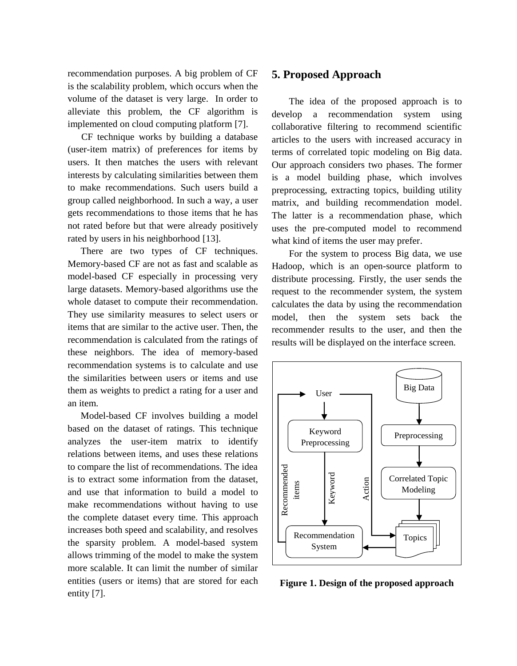recommendation purposes. A big problem of CF is the scalability problem, which occurs when the volume of the dataset is very large. In order to alleviate this problem, the CF algorithm is implemented on cloud computing platform [7].

CF technique works by building a database (user-item matrix) of preferences for items by users. It then matches the users with relevant interests by calculating similarities between them to make recommendations. Such users build a group called neighborhood. In such a way, a user gets recommendations to those items that he has not rated before but that were already positively rated by users in his neighborhood [13].

There are two types of CF techniques. [Memory-based CF](http://www.cs.carleton.edu/cs_comps/0607/recommend/recommender/memorybased.html) are not as fast and scalable as model-based CF especially in processing very large datasets. Memory-based algorithms use the whole dataset to compute their recommendation. They use similarity measures to select users or items that are similar to the active user. Then, the recommendation is calculated from the ratings of these neighbors. The idea of [memory-based](http://www.cs.carleton.edu/cs_comps/0607/recommend/recommender/memorybased.html)  [recommendation systems](http://www.cs.carleton.edu/cs_comps/0607/recommend/recommender/memorybased.html) is to calculate and use the similarities between users or items and use them as weights to predict a rating for a user and an item.

Model-based CF involves building a model based on the dataset of ratings. This technique analyzes the user-item matrix to identify relations between items, and uses these relations to compare the list of recommendations. The idea is to extract some information from the dataset, and use that information to build a model to make recommendations without having to use the complete dataset every time. This approach increases both speed and scalability, and resolves the sparsity problem. A model-based system allows trimming of the model to make the system more scalable. It can limit the number of similar entities (users or items) that are stored for each entity [7].

### **5. Proposed Approach**

The idea of the proposed approach is to develop a recommendation system using collaborative filtering to recommend scientific articles to the users with increased accuracy in terms of correlated topic modeling on Big data. Our approach considers two phases. The former is a model building phase, which involves preprocessing, extracting topics, building utility matrix, and building recommendation model. The latter is a recommendation phase, which uses the pre-computed model to recommend what kind of items the user may prefer.

For the system to process Big data, we use Hadoop, which is an open-source platform to distribute processing. Firstly, the user sends the request to the recommender system, the system calculates the data by using the recommendation model, then the system sets back the recommender results to the user, and then the results will be displayed on the interface screen.



**Figure 1. Design of the proposed approach**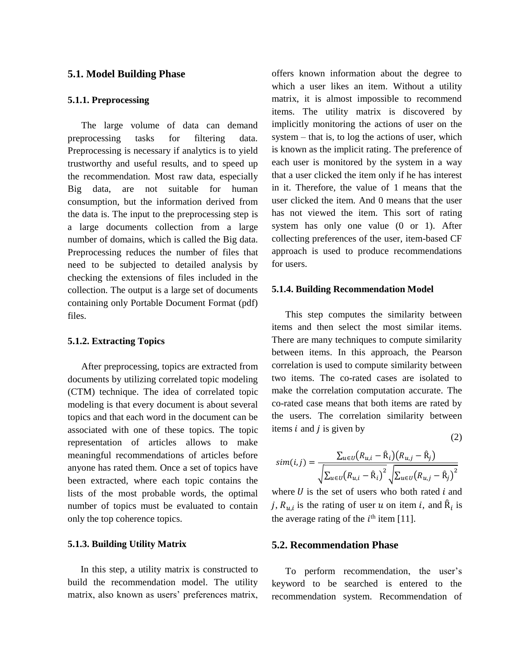#### **5.1. Model Building Phase**

#### **5.1.1. Preprocessing**

The large volume of data can demand preprocessing tasks for filtering data. Preprocessing is necessary if analytics is to yield trustworthy and useful results, and to speed up the recommendation. Most raw data, especially Big data, are not suitable for human consumption, but the information derived from the data is. The input to the preprocessing step is a large documents collection from a large number of domains, which is called the Big data. Preprocessing reduces the number of files that need to be subjected to detailed analysis by checking the extensions of files included in the collection. The output is a large set of documents containing only Portable Document Format (pdf) files.

### **5.1.2. Extracting Topics**

After preprocessing, topics are extracted from documents by utilizing correlated topic modeling (CTM) technique. The idea of correlated topic modeling is that every document is about several topics and that each word in the document can be associated with one of these topics. The topic representation of articles allows to make meaningful recommendations of articles before anyone has rated them. Once a set of topics have been extracted, where each topic contains the lists of the most probable words, the optimal number of topics must be evaluated to contain only the top coherence topics.

#### **5.1.3. Building Utility Matrix**

In this step, a utility matrix is constructed to build the recommendation model. The utility matrix, also known as users' preferences matrix,

offers known information about the degree to which a user likes an item. Without a utility matrix, it is almost impossible to recommend items. The utility matrix is discovered by implicitly monitoring the actions of user on the system – that is, to log the actions of user, which is known as the implicit rating. The preference of each user is monitored by the system in a way that a user clicked the item only if he has interest in it. Therefore, the value of 1 means that the user clicked the item. And 0 means that the user has not viewed the item. This sort of rating system has only one value (0 or 1). After collecting preferences of the user, item-based CF approach is used to produce recommendations for users.

#### **5.1.4. Building Recommendation Model**

This step computes the similarity between items and then select the most similar items. There are many techniques to compute similarity between items. In this approach, the Pearson correlation is used to compute similarity between two items. The co-rated cases are isolated to make the correlation computation accurate. The co-rated case means that both items are rated by the users. The correlation similarity between items  $i$  and  $j$  is given by (2)

$$
sim(i,j) = \frac{\sum_{u \in U} (R_{u,i} - \hat{R}_i)(R_{u,j} - \hat{R}_j)}{\sqrt{\sum_{u \in U} (R_{u,i} - \hat{R}_i)^2} \sqrt{\sum_{u \in U} (R_{u,j} - \hat{R}_j)^2}}
$$

where  $U$  is the set of users who both rated  $i$  and j,  $R_{u,i}$  is the rating of user u on item i, and  $\hat{R}_i$  is the average rating of the  $i<sup>th</sup>$  item [11].

#### **5.2. Recommendation Phase**

To perform recommendation, the user's keyword to be searched is entered to the recommendation system. Recommendation of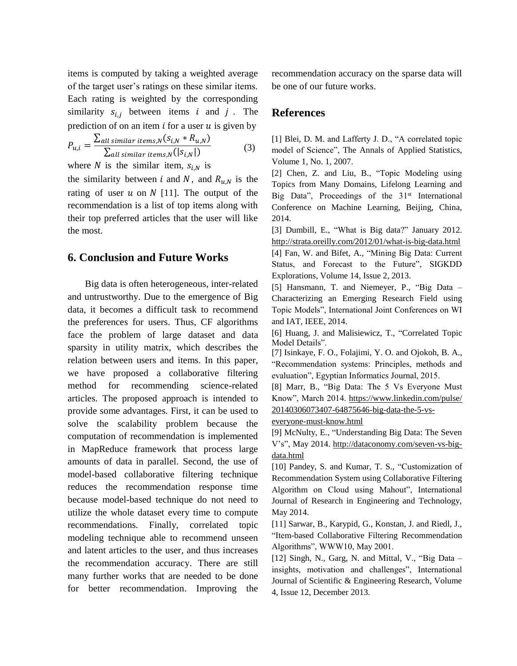items is computed by taking a weighted average of the target user's ratings on these similar items. Each rating is weighted by the corresponding similarity  $s_{i,i}$  between items *i* and *j*. The prediction of on an item  $i$  for a user  $u$  is given by

$$
P_{u,i} = \frac{\sum_{all \text{ similar items}, N}(s_{i,N} * R_{u,N})}{\sum_{all \text{ similar items}, N}(|s_{i,N}|)}
$$
(3)

where N is the similar item,  $S_{i,N}$  is

the similarity between *i* and *N*, and  $R_{u,N}$  is the rating of user  $u$  on  $N$  [11]. The output of the recommendation is a list of top items along with their top preferred articles that the user will like the most.

### **6. Conclusion and Future Works**

Big data is often heterogeneous, inter-related and untrustworthy. Due to the emergence of Big data, it becomes a difficult task to recommend the preferences for users. Thus, CF algorithms face the problem of large dataset and data sparsity in utility matrix, which describes the relation between users and items. In this paper, we have proposed a collaborative filtering method for recommending science-related articles. The proposed approach is intended to provide some advantages. First, it can be used to solve the scalability problem because the computation of recommendation is implemented in MapReduce framework that process large amounts of data in parallel. Second, the use of model-based collaborative filtering technique reduces the recommendation response time because model-based technique do not need to utilize the whole dataset every time to compute recommendations. Finally, correlated topic modeling technique able to recommend unseen and latent articles to the user, and thus increases the recommendation accuracy. There are still many further works that are needed to be done for better recommendation. Improving the recommendation accuracy on the sparse data will be one of our future works.

### **References**

[1] Blei, D. M. and Lafferty J. D., "A correlated topic model of Science", The Annals of Applied Statistics, Volume 1, No. 1, 2007.

[2] Chen, Z. and Liu, B., "Topic Modeling using Topics from Many Domains, Lifelong Learning and Big Data", Proceedings of the  $31<sup>st</sup>$  International Conference on Machine Learning, Beijing, China, 2014.

[3] Dumbill, E., "What is Big data?" January 2012. <http://strata.oreilly.com/2012/01/what-is-big-data.html> [4] Fan, W. and Bifet, A., "Mining Big Data: Current Status, and Forecast to the Future", SIGKDD Explorations, Volume 14, Issue 2, 2013.

[5] Hansmann, T. and Niemeyer, P., "Big Data – Characterizing an Emerging Research Field using Topic Models", International Joint Conferences on WI and IAT, IEEE, 2014.

[6] Huang, J. and Malisiewicz, T., "Correlated Topic Model Details".

[7] Isinkaye, F. O., Folajimi, Y. O. and Ojokoh, B. A., "Recommendation systems: Principles, methods and evaluation", Egyptian Informatics Journal, 2015.

[8] Marr, B., "Big Data: The 5 Vs Everyone Must Know", March 2014. [https://www.linkedin.com/pulse/](https://www.linkedin.com/pulse/%2020140306073407-64875646-big-data-the-5-vs-everyone-must-know.html)  [20140306073407-64875646-big-data-the-5-vs-](https://www.linkedin.com/pulse/%2020140306073407-64875646-big-data-the-5-vs-everyone-must-know.html)

[everyone-must-know.html](https://www.linkedin.com/pulse/%2020140306073407-64875646-big-data-the-5-vs-everyone-must-know.html)

[9] [McNulty,](http://dataconomy.com/author/eileen-mcnulty/) E., "Understanding Big Data: The Seven V's", [May 2014.](http://dataconomy.com/seven-vs-big-data/) [http://dataconomy.com/seven-vs-big](http://dataconomy.com/seven-vs-big-data.html)[data.html](http://dataconomy.com/seven-vs-big-data.html)

[10] Pandey, S. and Kumar, T. S., "Customization of Recommendation System using Collaborative Filtering Algorithm on Cloud using Mahout", International Journal of Research in Engineering and Technology, May 2014.

[11] Sarwar, B., Karypid, G., Konstan, J. and Riedl, J., "Item-based Collaborative Filtering Recommendation Algorithms", WWW10, May 2001.

[12] Singh, N., Garg, N. and Mittal, V., "Big Data – insights, motivation and challenges", International Journal of Scientific & Engineering Research, Volume 4, Issue 12, December 2013.